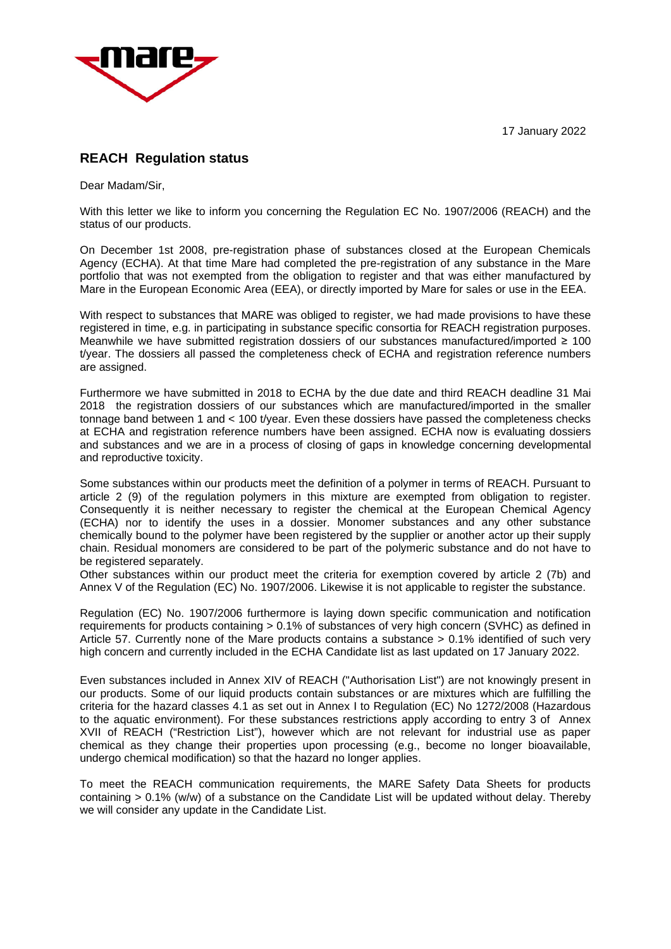17 January 2022



## **REACH Regulation status**

Dear Madam/Sir,

With this letter we like to inform you concerning the Regulation EC No. 1907/2006 (REACH) and the status of our products.

On December 1st 2008, pre-registration phase of substances closed at the European Chemicals Agency (ECHA). At that time Mare had completed the pre-registration of any substance in the Mare portfolio that was not exempted from the obligation to register and that was either manufactured by Mare in the European Economic Area (EEA), or directly imported by Mare for sales or use in the EEA.

With respect to substances that MARE was obliged to register, we had made provisions to have these registered in time, e.g. in participating in substance specific consortia for REACH registration purposes. Meanwhile we have submitted registration dossiers of our substances manufactured/imported ≥ 100 t/year. The dossiers all passed the completeness check of ECHA and registration reference numbers are assigned.

Furthermore we have submitted in 2018 to ECHA by the due date and third REACH deadline 31 Mai 2018 the registration dossiers of our substances which are manufactured/imported in the smaller tonnage band between 1 and < 100 t/year. Even these dossiers have passed the completeness checks at ECHA and registration reference numbers have been assigned. ECHA now is evaluating dossiers and substances and we are in a process of closing of gaps in knowledge concerning developmental and reproductive toxicity.

Some substances within our products meet the definition of a polymer in terms of REACH. Pursuant to article 2 (9) of the regulation polymers in this mixture are exempted from obligation to register. Consequently it is neither necessary to register the chemical at the European Chemical Agency (ECHA) nor to identify the uses in a dossier. Monomer substances and any other substance chemically bound to the polymer have been registered by the supplier or another actor up their supply chain. Residual monomers are considered to be part of the polymeric substance and do not have to be registered separately.

Other substances within our product meet the criteria for exemption covered by article 2 (7b) and Annex V of the Regulation (EC) No. 1907/2006. Likewise it is not applicable to register the substance.

Regulation (EC) No. 1907/2006 furthermore is laying down specific communication and notification requirements for products containing > 0.1% of substances of very high concern (SVHC) as defined in Article 57. Currently none of the Mare products contains a substance > 0.1% identified of such very high concern and currently included in the ECHA Candidate list as last updated on 17 January 2022.

Even substances included in Annex XIV of REACH ("Authorisation List") are not knowingly present in our products. Some of our liquid products contain substances or are mixtures which are fulfilling the criteria for the hazard classes 4.1 as set out in Annex I to Regulation (EC) No 1272/2008 (Hazardous to the aquatic environment). For these substances restrictions apply according to entry 3 of Annex XVII of REACH ("Restriction List"), however which are not relevant for industrial use as paper chemical as they change their properties upon processing (e.g., become no longer bioavailable, undergo chemical modification) so that the hazard no longer applies.

To meet the REACH communication requirements, the MARE Safety Data Sheets for products containing > 0.1% (w/w) of a substance on the Candidate List will be updated without delay. Thereby we will consider any update in the Candidate List.